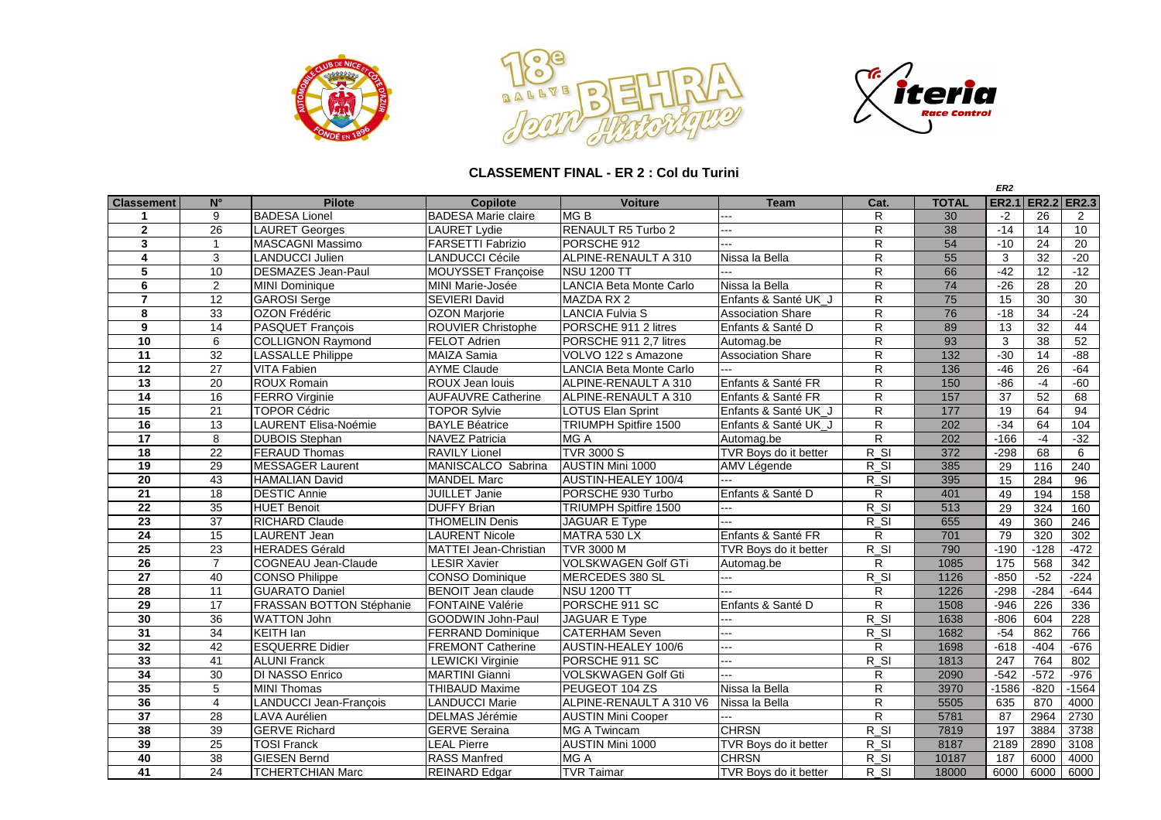





## **CLASSEMENT FINAL - ER 2 : Col du Turini**

|                         |                 |                            |                              |                                |                          |                         |              | ER <sub>2</sub> |                   |         |
|-------------------------|-----------------|----------------------------|------------------------------|--------------------------------|--------------------------|-------------------------|--------------|-----------------|-------------------|---------|
| <b>Classement</b>       | $N^{\circ}$     | <b>Pilote</b>              | <b>Copilote</b>              | <b>Voiture</b>                 | <b>Team</b>              | Cat.                    | <b>TOTAL</b> |                 | ER2.1 ER2.2 ER2.3 |         |
| -1                      | 9               | <b>BADESA Lionel</b>       | <b>BADESA Marie claire</b>   | MGB                            | $\sim$                   | R                       | 30           | $-2$            | 26                | 2       |
| $\overline{2}$          | 26              | <b>LAURET Georges</b>      | <b>LAURET Lydie</b>          | RENAULT R5 Turbo 2             | ---                      | R.                      | 38           | $-14$           | 14                | 10      |
| $\overline{\mathbf{3}}$ | $\mathbf{1}$    | <b>MASCAGNI Massimo</b>    | <b>FARSETTI Fabrizio</b>     | PORSCHE 912                    | ---                      | R.                      | 54           | $-10$           | 24                | 20      |
| 4                       | 3               | <b>LANDUCCI Julien</b>     | <b>LANDUCCI Cécile</b>       | ALPINE-RENAULT A 310           | Nissa la Bella           | $\overline{R}$          | 55           | 3               | $\overline{32}$   | $-20$   |
| 5                       | 10              | <b>DESMAZES Jean-Paul</b>  | MOUYSSET Françoise           | <b>NSU 1200 TT</b>             |                          | R                       | 66           | $-42$           | 12                | $-12$   |
| 6                       | $\overline{2}$  | <b>MINI Dominique</b>      | MINI Marie-Josée             | LANCIA Beta Monte Carlo        | Nissa la Bella           | R.                      | 74           | $-26$           | 28                | 20      |
| $\overline{7}$          | 12              | <b>GAROSI</b> Serge        | <b>SEVIERI David</b>         | <b>MAZDA RX 2</b>              | Enfants & Santé UK J     | R.                      | 75           | 15              | 30                | 30      |
| 8                       | $\overline{33}$ | <b>OZON Frédéric</b>       | <b>OZON Marjorie</b>         | <b>LANCIA Fulvia S</b>         | <b>Association Share</b> | R                       | 76           | $-18$           | 34                | $-24$   |
| 9                       | 14              | PASQUET François           | <b>ROUVIER Christophe</b>    | PORSCHE 911 2 litres           | Enfants & Santé D        | $\overline{\mathsf{R}}$ | 89           | 13              | $\overline{32}$   | 44      |
| 10                      | 6               | <b>COLLIGNON Raymond</b>   | <b>FELOT Adrien</b>          | PORSCHE 911 2,7 litres         | Automag.be               | $\overline{\mathsf{R}}$ | 93           | $\mathbf{3}$    | 38                | 52      |
| 11                      | 32              | <b>LASSALLE Philippe</b>   | <b>MAIZA Samia</b>           | VOLVO 122 s Amazone            | <b>Association Share</b> | R                       | 132          | $-30$           | 14                | $-88$   |
| 12                      | 27              | <b>VITA Fabien</b>         | <b>AYME Claude</b>           | <b>LANCIA Beta Monte Carlo</b> | u.                       | $\overline{R}$          | 136          | $-46$           | 26                | $-64$   |
| 13                      | 20              | <b>ROUX Romain</b>         | ROUX Jean louis              | ALPINE-RENAULT A 310           | Enfants & Santé FR       | R                       | 150          | $-86$           | $-4$              | $-60$   |
| $\overline{14}$         | $\overline{16}$ | <b>FERRO</b> Virginie      | <b>AUFAUVRE Catherine</b>    | ALPINE-RENAULT A 310           | Enfants & Santé FR       | R                       | 157          | $\overline{37}$ | $\overline{52}$   | 68      |
| $\overline{15}$         | 21              | <b>TOPOR Cédric</b>        | <b>TOPOR Sylvie</b>          | <b>LOTUS Elan Sprint</b>       | Enfants & Santé UK J     | $\mathsf R$             | 177          | $\overline{19}$ | 64                | 94      |
| 16                      | 13              | LAURENT Elisa-Noémie       | <b>BAYLE Béatrice</b>        | <b>TRIUMPH Spitfire 1500</b>   | Enfants & Santé UK J     | $\overline{\mathsf{R}}$ | 202          | $-34$           | 64                | 104     |
| $\overline{17}$         | 8               | <b>DUBOIS</b> Stephan      | <b>NAVEZ Patricia</b>        | MG A                           | Automag.be               | $\overline{R}$          | 202          | $-166$          | $-4$              | $-32$   |
| $\overline{18}$         | $\overline{22}$ | <b>FERAUD Thomas</b>       | <b>RAVILY Lionel</b>         | <b>TVR 3000 S</b>              | TVR Boys do it better    | $R_S$                   | 372          | $-298$          | 68                | 6       |
| 19                      | 29              | MESSAGER Laurent           | MANISCALCO Sabrina           | AUSTIN Mini 1000               | AMV Légende              | $R_S$                   | 385          | 29              | 116               | 240     |
| 20                      | 43              | <b>HAMALIAN David</b>      | <b>MANDEL Marc</b>           | AUSTIN-HEALEY 100/4            |                          | $R_S$                   | 395          | 15              | 284               | 96      |
| $\overline{21}$         | $\overline{18}$ | <b>DESTIC Annie</b>        | <b>JUILLET Janie</b>         | PORSCHE 930 Turbo              | Enfants & Santé D        | R                       | 401          | 49              | 194               | 158     |
| $\overline{22}$         | 35              | <b>HUET Benoit</b>         | <b>DUFFY Brian</b>           | <b>TRIUMPH Spitfire 1500</b>   |                          | $R_S$                   | 513          | 29              | 324               | 160     |
| $\overline{23}$         | $\overline{37}$ | <b>RICHARD Claude</b>      | <b>THOMELIN Denis</b>        | <b>JAGUAR E Type</b>           | ---                      | $R_S$                   | 655          | 49              | 360               | 246     |
| 24                      | 15              | <b>LAURENT Jean</b>        | <b>LAURENT Nicole</b>        | MATRA 530 LX                   | Enfants & Santé FR       | R                       | 701          | 79              | 320               | 302     |
| 25                      | 23              | <b>HERADES Gérald</b>      | <b>MATTEI Jean-Christian</b> | <b>TVR 3000 M</b>              | TVR Boys do it better    | $R_S$                   | 790          | $-190$          | $-128$            | $-472$  |
| $\overline{26}$         | $\overline{7}$  | <b>COGNEAU Jean-Claude</b> | <b>LESIR Xavier</b>          | <b>VOLSKWAGEN Golf GTi</b>     | Automag.be               | R                       | 1085         | 175             | 568               | 342     |
| 27                      | 40              | <b>CONSO Philippe</b>      | <b>CONSO Dominique</b>       | MERCEDES 380 SL                | шĒ.                      | $R_S$                   | 1126         | $-850$          | $-52$             | $-224$  |
| $\overline{28}$         | 11              | <b>GUARATO Daniel</b>      | <b>BENOIT Jean claude</b>    | <b>NSU 1200 TT</b>             | ---                      | R                       | 1226         | $-298$          | $-284$            | $-644$  |
| $\overline{29}$         | 17              | FRASSAN BOTTON Stéphanie   | <b>FONTAINE Valérie</b>      | PORSCHE 911 SC                 | Enfants & Santé D        | R                       | 1508         | $-946$          | 226               | 336     |
| 30                      | $\overline{36}$ | <b>WATTON John</b>         | GOODWIN John-Paul            | <b>JAGUAR E Type</b>           |                          | $R_S$                   | 1638         | $-806$          | 604               | 228     |
| 31                      | 34              | <b>KEITH Ian</b>           | <b>FERRAND Dominique</b>     | <b>CATERHAM Seven</b>          | ---                      | $R_S$                   | 1682         | $-54$           | 862               | 766     |
| 32                      | 42              | <b>ESQUERRE Didier</b>     | <b>FREMONT Catherine</b>     | AUSTIN-HEALEY 100/6            | ---                      | R.                      | 1698         | $-618$          | $-404$            | $-676$  |
| 33                      | 41              | <b>ALUNI Franck</b>        | <b>LEWICKI Virginie</b>      | PORSCHE 911 SC                 | ---                      | $R_S$                   | 1813         | 247             | 764               | 802     |
| 34                      | 30              | <b>DI NASSO Enrico</b>     | <b>MARTINI Gianni</b>        | VOLSKWAGEN Golf Gti            |                          | R                       | 2090         | $-542$          | $-572$            | $-976$  |
| 35                      | 5               | <b>MINI Thomas</b>         | <b>THIBAUD Maxime</b>        | PEUGEOT 104 ZS                 | Nissa la Bella           | R                       | 3970         | $-1586$         | $-820$            | $-1564$ |
| 36                      | $\overline{4}$  | LANDUCCI Jean-François     | <b>LANDUCCI Marie</b>        | ALPINE-RENAULT A 310 V6        | Nissa la Bella           | R                       | 5505         | 635             | 870               | 4000    |
| 37                      | 28              | LAVA Aurélien              | DELMAS Jérémie               | <b>AUSTIN Mini Cooper</b>      | a.                       | R.                      | 5781         | 87              | 2964              | 2730    |
| 38                      | 39              | <b>GERVE Richard</b>       | <b>GERVE Seraina</b>         | <b>MG A Twincam</b>            | <b>CHRSN</b>             | $R_S$                   | 7819         | 197             | 3884              | 3738    |
| 39                      | 25              | <b>TOSI Franck</b>         | <b>LEAL Pierre</b>           | AUSTIN Mini 1000               | TVR Boys do it better    | $R_S$                   | 8187         | 2189            | 2890              | 3108    |
| 40                      | 38              | <b>GIESEN Bernd</b>        | <b>RASS Manfred</b>          | <b>MGA</b>                     | <b>CHRSN</b>             | $R_S$                   | 10187        | 187             | 6000              | 4000    |
| 41                      | $\overline{24}$ | <b>TCHERTCHIAN Marc</b>    | <b>REINARD Edgar</b>         | <b>TVR Taimar</b>              | TVR Boys do it better    | $R_S$                   | 18000        | 6000            | 6000              | 6000    |